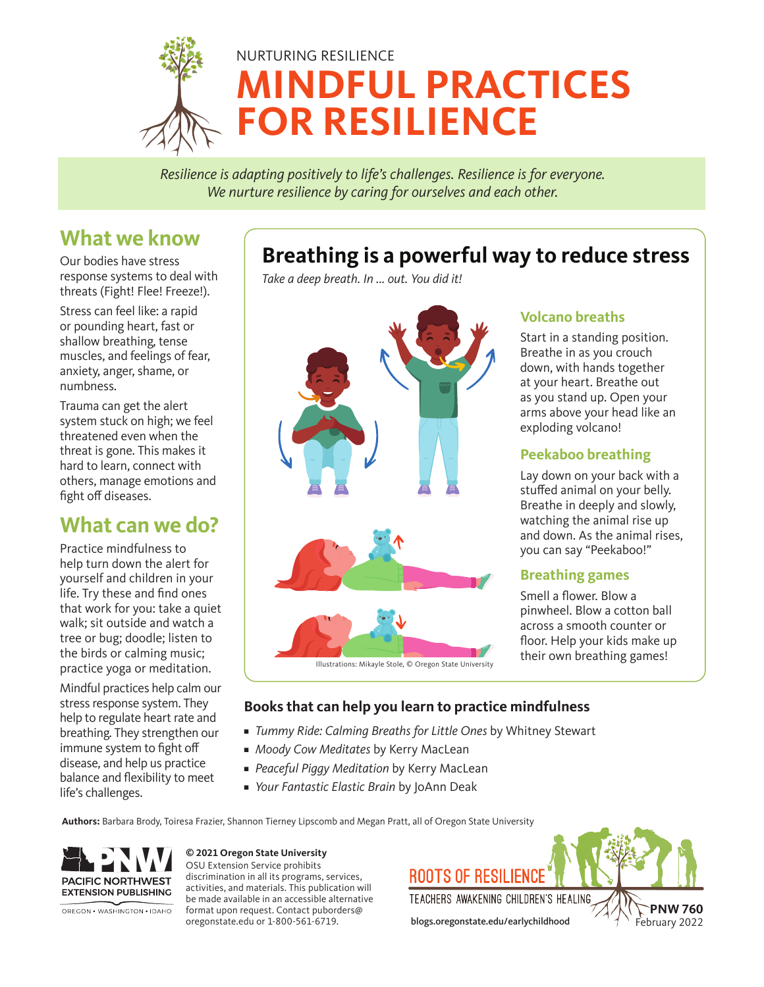

*Resilience is adapting positively to life's challenges. Resilience is for everyone. We nurture resilience by caring for ourselves and each other.*

# **What we know**

Our bodies have stress response systems to deal with threats (Fight! Flee! Freeze!).

Stress can feel like: a rapid or pounding heart, fast or shallow breathing, tense muscles, and feelings of fear, anxiety, anger, shame, or numbness.

Trauma can get the alert system stuck on high; we feel threatened even when the threat is gone. This makes it hard to learn, connect with others, manage emotions and fight off diseases.

# **What can we do?**

Practice mindfulness to help turn down the alert for yourself and children in your life. Try these and find ones that work for you: take a quiet walk; sit outside and watch a tree or bug; doodle; listen to the birds or calming music; practice yoga or meditation.

Mindful practices help calm our stress response system. They help to regulate heart rate and breathing. They strengthen our immune system to fight off disease, and help us practice balance and flexibility to meet life's challenges.

# **Breathing is a powerful way to reduce stress**

*Take a deep breath. In ... out. You did it!* 



### **Volcano breaths**

Start in a standing position. Breathe in as you crouch down, with hands together at your heart. Breathe out as you stand up. Open your arms above your head like an exploding volcano!

### **Peekaboo breathing**

Lay down on your back with a stuffed animal on your belly. Breathe in deeply and slowly, watching the animal rise up and down. As the animal rises, you can say "Peekaboo!"

### **Breathing games**

Smell a flower. Blow a pinwheel. Blow a cotton ball across a smooth counter or floor. Help your kids make up their own breathing games!

### **Books that can help you learn to practice mindfulness**

- **■** *Tummy Ride: Calming Breaths for Little Ones* by Whitney Stewart
- **■** *Moody Cow Meditates* by Kerry MacLean
- *Peaceful Piggy Meditation* by Kerry MacLean
- *Your Fantastic Elastic Brain* by JoAnn Deak

**Authors:** Barbara Brody, Toiresa Frazier, Shannon Tierney Lipscomb and Megan Pratt, all of Oregon State University



OREGON • WASHINGTON • IDAHO

**© 2021 Oregon State University** OSU Extension Service prohibits discrimination in all its programs, services, activities, and materials. This publication will be made available in an accessible alternative format upon request. Contact puborders@

oregonstate.edu or 1-800-561-6719.

**ROOTS OF RESILIENC** 

TEACHERS AWAKENING CHILDREN'S HEALING

blogs.oregonstate.edu/earlychildhood